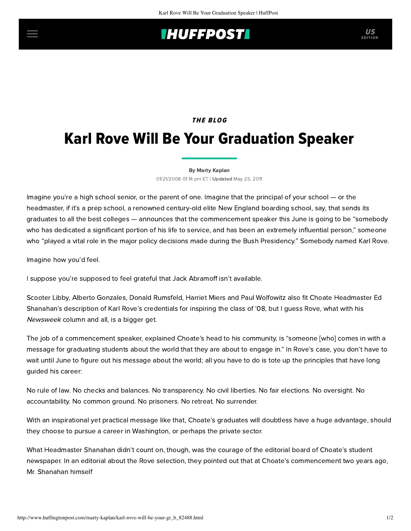## **IHUFFPOSTI** US

### **THE BLOG**

# Karl Rove Will Be Your Graduation Speaker

#### [By Marty Kaplan](http://www.huffingtonpost.com/author/marty-kaplan)

01/21/2008 01:14 pm ET | Updated May 25, 2011

Imagine you're a high school senior, or the parent of one. Imagine that the principal of your school — or the headmaster, if it's a prep school, a renowned century-old elite New England boarding school, say, that sends its graduates to all the best colleges — [announces](http://thenews.choate.edu/files/EkppyklZFAHAnXYtzI.php) that the commencement speaker this June is going to be "somebody who has dedicated a significant portion of his life to service, and has been an extremely influential person," someone who "played a vital role in the major policy decisions made during the Bush Presidency." Somebody named Karl Rove.

Imagine how you'd feel.

I suppose you're supposed to feel grateful that Jack Abramoff isn't available.

Scooter Libby, Alberto Gonzales, Donald Rumsfeld, Harriet Miers and Paul Wolfowitz also fit Choate Headmaster Ed Shanahan's description of Karl Rove's credentials for inspiring the class of '08, but I guess Rove, what with his Newsweek column and all, is a bigger get.

The job of a commencement speaker, explained Choate's head to his community, is "someone [who] comes in with a message for graduating students about the world that they are about to engage in." In Rove's case, you don't have to wait until June to figure out his message about the world; all you have to do is tote up the principles that have long guided his career:

No rule of law. No checks and balances. No transparency. No civil liberties. No fair elections. No oversight. No accountability. No common ground. No prisoners. No retreat. No surrender.

With an inspirational yet practical message like that, Choate's graduates will doubtless have a huge advantage, should they choose to pursue a career in Washington, or perhaps the private sector.

What Headmaster Shanahan didn't count on, though, was the courage of the editorial board of Choate's student newspaper. In an [editorial](http://thenews.choate.edu/files/EkppVFEpyFUDCjkOuK.php) about the Rove selection, they pointed out that at Choate's commencement two years ago, Mr. Shanahan himself